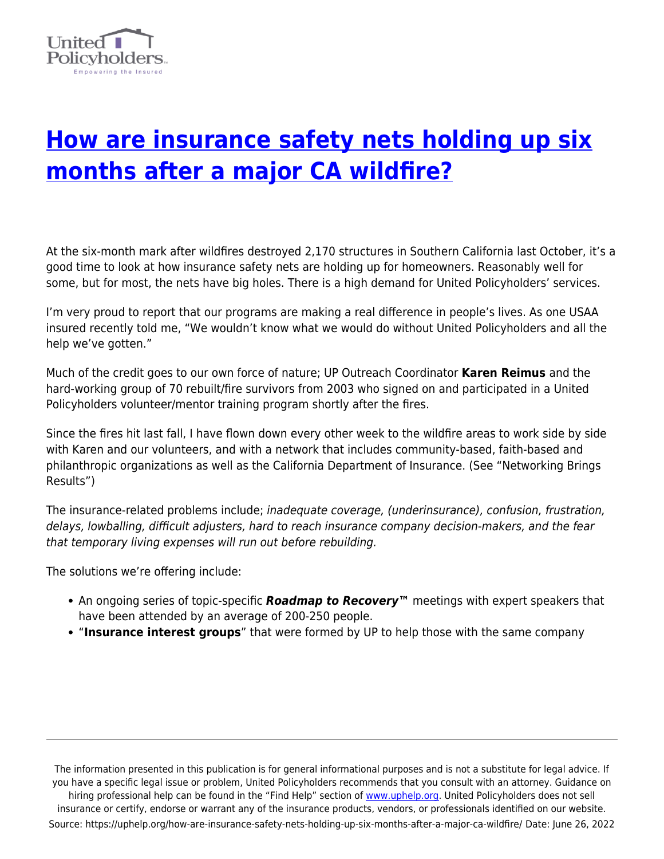

## **[How are insurance safety nets holding up six](https://uphelp.org/how-are-insurance-safety-nets-holding-up-six-months-after-a-major-ca-wildfire/) [months after a major CA wildfire?](https://uphelp.org/how-are-insurance-safety-nets-holding-up-six-months-after-a-major-ca-wildfire/)**

At the six-month mark after wildfires destroyed 2,170 structures in Southern California last October, it's a good time to look at how insurance safety nets are holding up for homeowners. Reasonably well for some, but for most, the nets have big holes. There is a high demand for United Policyholders' services.

I'm very proud to report that our programs are making a real difference in people's lives. As one USAA insured recently told me, "We wouldn't know what we would do without United Policyholders and all the help we've gotten."

Much of the credit goes to our own force of nature; UP Outreach Coordinator **Karen Reimus** and the hard-working group of 70 rebuilt/fire survivors from 2003 who signed on and participated in a United Policyholders volunteer/mentor training program shortly after the fires.

Since the fires hit last fall, I have flown down every other week to the wildfire areas to work side by side with Karen and our volunteers, and with a network that includes community-based, faith-based and philanthropic organizations as well as the California Department of Insurance. (See "Networking Brings Results")

The insurance-related problems include; inadequate coverage, (underinsurance), confusion, frustration, delays, lowballing, difficult adjusters, hard to reach insurance company decision-makers, and the fear that temporary living expenses will run out before rebuilding.

The solutions we're offering include:

- An ongoing series of topic-specific *Roadmap to Recovery™* meetings with expert speakers that have been attended by an average of 200-250 people.
- "**Insurance interest groups**" that were formed by UP to help those with the same company

The information presented in this publication is for general informational purposes and is not a substitute for legal advice. If you have a specific legal issue or problem, United Policyholders recommends that you consult with an attorney. Guidance on hiring professional help can be found in the "Find Help" section of [www.uphelp.org.](http://www.uphelp.org/) United Policyholders does not sell insurance or certify, endorse or warrant any of the insurance products, vendors, or professionals identified on our website. Source: https://uphelp.org/how-are-insurance-safety-nets-holding-up-six-months-after-a-major-ca-wildfire/ Date: June 26, 2022